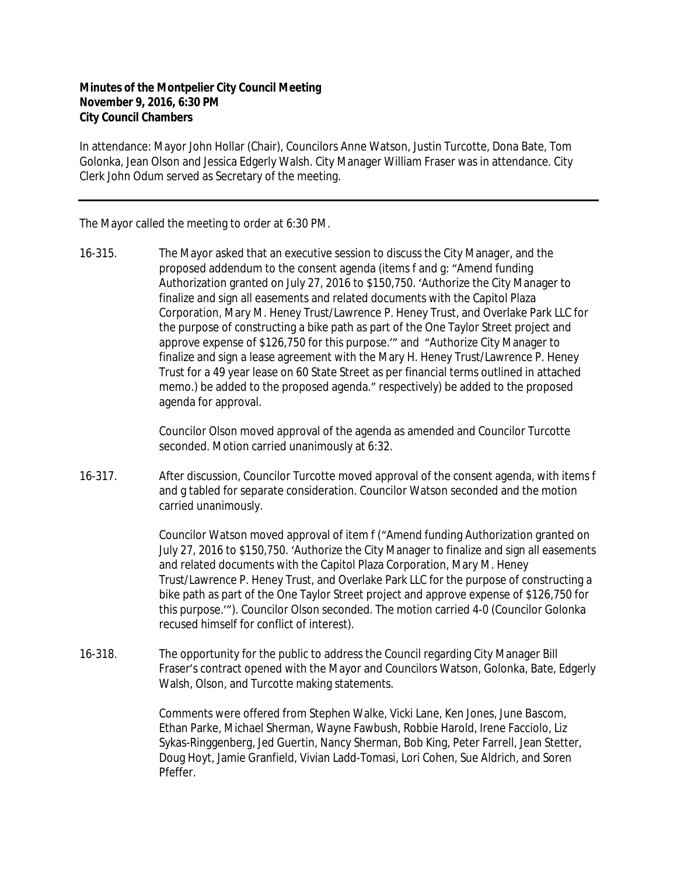## **Minutes of the Montpelier City Council Meeting November 9, 2016, 6:30 PM City Council Chambers**

In attendance: Mayor John Hollar (Chair), Councilors Anne Watson, Justin Turcotte, Dona Bate, Tom Golonka, Jean Olson and Jessica Edgerly Walsh. City Manager William Fraser was in attendance. City Clerk John Odum served as Secretary of the meeting.

The Mayor called the meeting to order at 6:30 PM.

16-315. The Mayor asked that an executive session to discuss the City Manager, and the proposed addendum to the consent agenda (items f and g: "Amend funding Authorization granted on July 27, 2016 to \$150,750. 'Authorize the City Manager to finalize and sign all easements and related documents with the Capitol Plaza Corporation, Mary M. Heney Trust/Lawrence P. Heney Trust, and Overlake Park LLC for the purpose of constructing a bike path as part of the One Taylor Street project and approve expense of \$126,750 for this purpose.'" and "Authorize City Manager to finalize and sign a lease agreement with the Mary H. Heney Trust/Lawrence P. Heney Trust for a 49 year lease on 60 State Street as per financial terms outlined in attached memo.) be added to the proposed agenda." respectively) be added to the proposed agenda for approval.

> Councilor Olson moved approval of the agenda as amended and Councilor Turcotte seconded. Motion carried unanimously at 6:32.

16-317. After discussion, Councilor Turcotte moved approval of the consent agenda, with items f and g tabled for separate consideration. Councilor Watson seconded and the motion carried unanimously.

> Councilor Watson moved approval of item f ("Amend funding Authorization granted on July 27, 2016 to \$150,750. 'Authorize the City Manager to finalize and sign all easements and related documents with the Capitol Plaza Corporation, Mary M. Heney Trust/Lawrence P. Heney Trust, and Overlake Park LLC for the purpose of constructing a bike path as part of the One Taylor Street project and approve expense of \$126,750 for this purpose.'"). Councilor Olson seconded. The motion carried 4-0 (Councilor Golonka recused himself for conflict of interest).

16-318. The opportunity for the public to address the Council regarding City Manager Bill Fraser's contract opened with the Mayor and Councilors Watson, Golonka, Bate, Edgerly Walsh, Olson, and Turcotte making statements.

> Comments were offered from Stephen Walke, Vicki Lane, Ken Jones, June Bascom, Ethan Parke, Michael Sherman, Wayne Fawbush, Robbie Harold, Irene Facciolo, Liz Sykas-Ringgenberg, Jed Guertin, Nancy Sherman, Bob King, Peter Farrell, Jean Stetter, Doug Hoyt, Jamie Granfield, Vivian Ladd-Tomasi, Lori Cohen, Sue Aldrich, and Soren Pfeffer.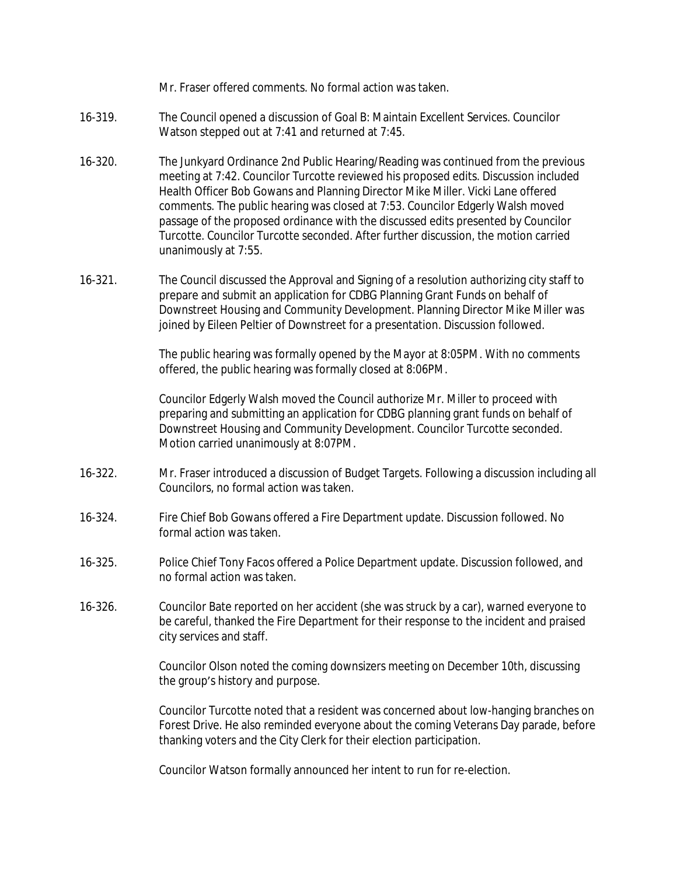Mr. Fraser offered comments. No formal action was taken.

- 16-319. The Council opened a discussion of Goal B: Maintain Excellent Services. Councilor Watson stepped out at 7:41 and returned at 7:45.
- 16-320. The Junkyard Ordinance 2nd Public Hearing/Reading was continued from the previous meeting at 7:42. Councilor Turcotte reviewed his proposed edits. Discussion included Health Officer Bob Gowans and Planning Director Mike Miller. Vicki Lane offered comments. The public hearing was closed at 7:53. Councilor Edgerly Walsh moved passage of the proposed ordinance with the discussed edits presented by Councilor Turcotte. Councilor Turcotte seconded. After further discussion, the motion carried unanimously at 7:55.
- 16-321. The Council discussed the Approval and Signing of a resolution authorizing city staff to prepare and submit an application for CDBG Planning Grant Funds on behalf of Downstreet Housing and Community Development. Planning Director Mike Miller was joined by Eileen Peltier of Downstreet for a presentation. Discussion followed.

The public hearing was formally opened by the Mayor at 8:05PM. With no comments offered, the public hearing was formally closed at 8:06PM.

Councilor Edgerly Walsh moved the Council authorize Mr. Miller to proceed with preparing and submitting an application for CDBG planning grant funds on behalf of Downstreet Housing and Community Development. Councilor Turcotte seconded. Motion carried unanimously at 8:07PM.

- 16-322. Mr. Fraser introduced a discussion of Budget Targets. Following a discussion including all Councilors, no formal action was taken.
- 16-324. Fire Chief Bob Gowans offered a Fire Department update. Discussion followed. No formal action was taken.
- 16-325. Police Chief Tony Facos offered a Police Department update. Discussion followed, and no formal action was taken.
- 16-326. Councilor Bate reported on her accident (she was struck by a car), warned everyone to be careful, thanked the Fire Department for their response to the incident and praised city services and staff.

Councilor Olson noted the coming downsizers meeting on December 10th, discussing the group's history and purpose.

Councilor Turcotte noted that a resident was concerned about low-hanging branches on Forest Drive. He also reminded everyone about the coming Veterans Day parade, before thanking voters and the City Clerk for their election participation.

Councilor Watson formally announced her intent to run for re-election.